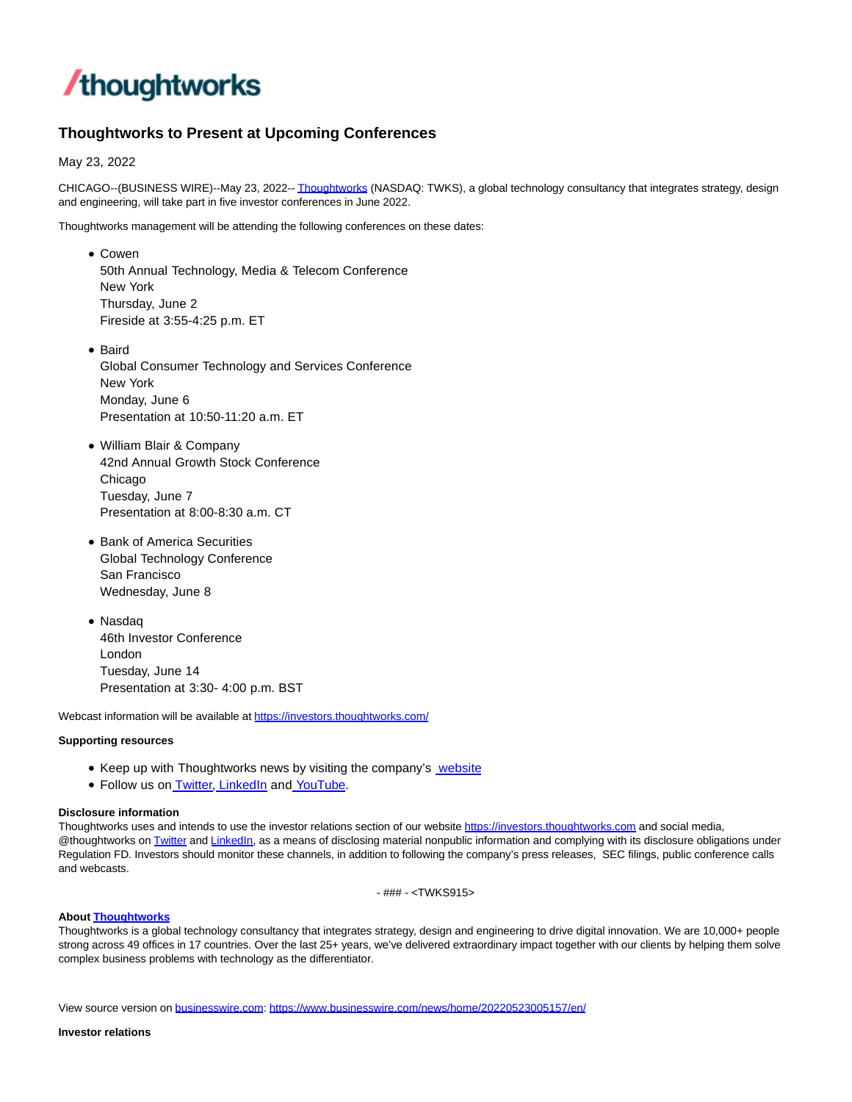

# **Thoughtworks to Present at Upcoming Conferences**

May 23, 2022

CHICAGO--(BUSINESS WIRE)--May 23, 2022-[- Thoughtworks \(](https://cts.businesswire.com/ct/CT?id=smartlink&url=https%3A%2F%2Finvestors.thoughtworks.com%2F&esheet=52726173&newsitemid=20220523005157&lan=en-US&anchor=Thoughtworks&index=1&md5=a22362eb4609715b08679eee96d3426d)NASDAQ: TWKS), a global technology consultancy that integrates strategy, design and engineering, will take part in five investor conferences in June 2022.

Thoughtworks management will be attending the following conferences on these dates:

Cowen 50th Annual Technology, Media & Telecom Conference New York Thursday, June 2 Fireside at 3:55-4:25 p.m. ET

• Baird Global Consumer Technology and Services Conference New York Monday, June 6 Presentation at 10:50-11:20 a.m. ET

William Blair & Company 42nd Annual Growth Stock Conference Chicago Tuesday, June 7 Presentation at 8:00-8:30 a.m. CT

- **Bank of America Securities** Global Technology Conference San Francisco Wednesday, June 8
- Nasdaq 46th Investor Conference London Tuesday, June 14 Presentation at 3:30- 4:00 p.m. BST

Webcast information will be available at [https://investors.thoughtworks.com/](https://cts.businesswire.com/ct/CT?id=smartlink&url=https%3A%2F%2Finvestors.thoughtworks.com%2F&esheet=52726173&newsitemid=20220523005157&lan=en-US&anchor=https%3A%2F%2Finvestors.thoughtworks.com%2F&index=2&md5=27e31305fc212e55e1f80514bd6316a8)

## **Supporting resources**

- Keep up with Thoughtworks news by visiting the company's [website](https://cts.businesswire.com/ct/CT?id=smartlink&url=http%3A%2F%2Fwww.thoughtworks.com%2F&esheet=52726173&newsitemid=20220523005157&lan=en-US&anchor=website&index=3&md5=e3d7b657f34ca2e00d209a46fd98a76b)
- Follow us on **Twitter**, [LinkedIn a](https://cts.businesswire.com/ct/CT?id=smartlink&url=https%3A%2F%2Fwww.linkedin.com%2Fcompany%2Fthoughtworks&esheet=52726173&newsitemid=20220523005157&lan=en-US&anchor=LinkedIn&index=5&md5=0a58888fed18841c4291216b51336c10)n[d YouTube.](https://cts.businesswire.com/ct/CT?id=smartlink&url=https%3A%2F%2Fwww.youtube.com%2Fuser%2FThoughtWorks&esheet=52726173&newsitemid=20220523005157&lan=en-US&anchor=YouTube&index=6&md5=7cb1d12fb660924ae4ffa73108598012)

## **Disclosure information**

Thoughtworks uses and intends to use the investor relations section of our websit[e https://investors.thoughtworks.com a](https://cts.businesswire.com/ct/CT?id=smartlink&url=https%3A%2F%2Finvestors.thoughtworks.com&esheet=52726173&newsitemid=20220523005157&lan=en-US&anchor=https%3A%2F%2Finvestors.thoughtworks.com&index=7&md5=3f738ccdc08ede3d01ee532c058fa44c)nd social media, @thoughtworks on [Twitter a](https://cts.businesswire.com/ct/CT?id=smartlink&url=https%3A%2F%2Ftwitter.com%2Fthoughtworks&esheet=52726173&newsitemid=20220523005157&lan=en-US&anchor=Twitter&index=8&md5=07d0370c56329516c3da37ba47704331)nd [LinkedIn,](https://cts.businesswire.com/ct/CT?id=smartlink&url=https%3A%2F%2Fwww.linkedin.com%2Fcompany%2Fthoughtworks&esheet=52726173&newsitemid=20220523005157&lan=en-US&anchor=LinkedIn&index=9&md5=6db6067748ca226ab92ec5e39ac90fcb) as a means of disclosing material nonpublic information and complying with its disclosure obligations under Regulation FD. Investors should monitor these channels, in addition to following the company's press releases, SEC filings, public conference calls and webcasts.

- ### - <TWKS915>

#### **Abou[t Thoughtworks](https://cts.businesswire.com/ct/CT?id=smartlink&url=https%3A%2F%2Fwww.thoughtworks.com%2F%3Futm_source%3Dpress-release%26utm_medium%3Dpr%26utm_campaign%3Dempc_forrester-study_2021-05&esheet=52726173&newsitemid=20220523005157&lan=en-US&anchor=Thoughtworks&index=10&md5=15020273f258bf4837d4d654c965b5f5)**

Thoughtworks is a global technology consultancy that integrates strategy, design and engineering to drive digital innovation. We are 10,000+ people strong across 49 offices in 17 countries. Over the last 25+ years, we've delivered extraordinary impact together with our clients by helping them solve complex business problems with technology as the differentiator.

View source version on [businesswire.com:](http://businesswire.com/)<https://www.businesswire.com/news/home/20220523005157/en/>

#### **Investor relations**